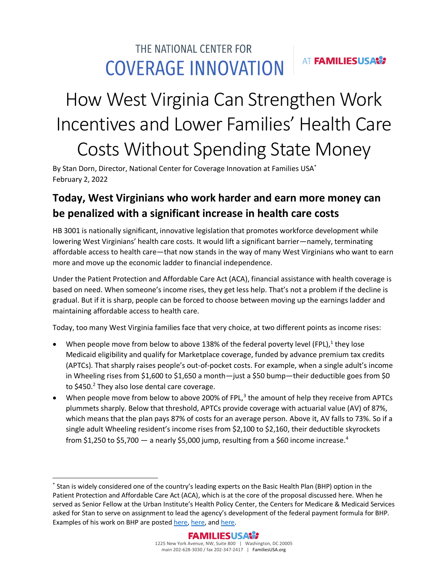## THE NATIONAL CENTER FOR AT **FAMILIESUSAS? COVERAGE INNOVATION**

# How West Virginia Can Strengthen Work Incentives and Lower Families' Health Care Costs Without Spending State Money

By Stan Dorn, Director, National Center for Coverage Innovation at Families USA<sup>\*</sup> February 2, 2022

# **Today, West Virginians who work harder and earn more money can be penalized with a significant increase in health care costs**

HB 3001 is nationally significant, innovative legislation that promotes workforce development while lowering West Virginians' health care costs. It would lift a significant barrier—namely, terminating affordable access to health care—that now stands in the way of many West Virginians who want to earn more and move up the economic ladder to financial independence.

Under the Patient Protection and Affordable Care Act (ACA), financial assistance with health coverage is based on need. When someone's income rises, they get less help. That's not a problem if the decline is gradual. But if it is sharp, people can be forced to choose between moving up the earnings ladder and maintaining affordable access to health care.

Today, too many West Virginia families face that very choice, at two different points as income rises:

- When people move from below to above 138% of the federal poverty level (FPL),<sup>1</sup> they lose Medicaid eligibility and qualify for Marketplace coverage, funded by advance premium tax credits (APTCs). That sharply raises people's out-of-pocket costs. For example, when a single adult's income in Wheeling rises from \$1,600 to \$1,650 a month—just a \$50 bump—their deductible goes from \$0 to \$450.<sup>2</sup> They also lose dental care coverage.
- When people move from below to above 200% of FPL, $3$  the amount of help they receive from APTCs plummets sharply. Below that threshold, APTCs provide coverage with actuarial value (AV) of 87%, which means that the plan pays 87% of costs for an average person. Above it, AV falls to 73%. So if a single adult Wheeling resident's income rises from \$2,100 to \$2,160, their deductible skyrockets from \$1,250 to \$5,700  $-$  a nearly \$5,000 jump, resulting from a \$60 income increase.<sup>4</sup>

 $\overline{\phantom{a}}$ 

<sup>\*</sup> Stan is widely considered one of the country's leading experts on the Basic Health Plan (BHP) option in the Patient Protection and Affordable Care Act (ACA), which is at the core of the proposal discussed here. When he served as Senior Fellow at the Urban Institute's Health Policy Center, the Centers for Medicare & Medicaid Services asked for Stan to serve on assignment to lead the agency's development of the federal payment formula for BHP. Examples of his work on BHP are poste[d here,](https://www.kff.org/health-reform/issue-brief/improving-the-affordability-of-coverage-through-the-basic-health-program-in-minnesota-and-new-york/) [here,](https://www.kff.org/report-section/the-acas-basic-health-program-option-federal-requirements-and-state-trade-offs-requirements-for-a-state-bhp/) and [here.](http://www.statecoverage.org/files/UI-BHP-MoreAffordableCoveragetoLowIncome92011.pdf)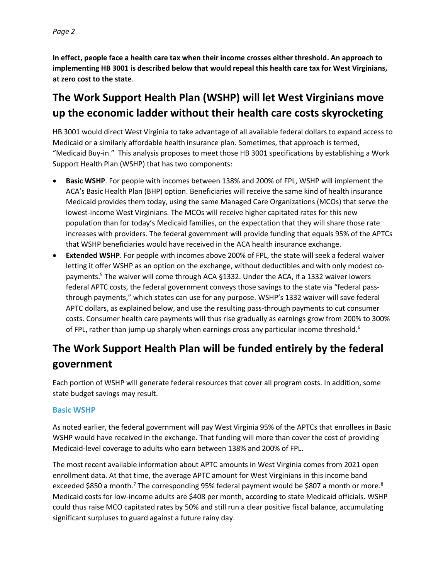**In effect, people face a health care tax when their income crosses either threshold. An approach to implementing HB 3001 is described below that would repeal this health care tax for West Virginians, at zero cost to the state**.

## **The Work Support Health Plan (WSHP) will let West Virginians move up the economic ladder without their health care costs skyrocketing**

HB 3001 would direct West Virginia to take advantage of all available federal dollars to expand access to Medicaid or a similarly affordable health insurance plan. Sometimes, that approach is termed, "Medicaid Buy-in." This analysis proposes to meet those HB 3001 specifications by establishing a Work Support Health Plan (WSHP) that has two components:

- **Basic WSHP**. For people with incomes between 138% and 200% of FPL, WSHP will implement the ACA's Basic Health Plan (BHP) option. Beneficiaries will receive the same kind of health insurance Medicaid provides them today, using the same Managed Care Organizations (MCOs) that serve the lowest-income West Virginians. The MCOs will receive higher capitated rates for this new population than for today's Medicaid families, on the expectation that they will share those rate increases with providers. The federal government will provide funding that equals 95% of the APTCs that WSHP beneficiaries would have received in the ACA health insurance exchange.
- **Extended WSHP**. For people with incomes above 200% of FPL, the state will seek a federal waiver letting it offer WSHP as an option on the exchange, without deductibles and with only modest copayments.<sup>5</sup> The waiver will come through ACA §1332. Under the ACA, if a 1332 waiver lowers federal APTC costs, the federal government conveys those savings to the state via "federal passthrough payments," which states can use for any purpose. WSHP's 1332 waiver will save federal APTC dollars, as explained below, and use the resulting pass-through payments to cut consumer costs. Consumer health care payments will thus rise gradually as earnings grow from 200% to 300% of FPL, rather than jump up sharply when earnings cross any particular income threshold.<sup>6</sup>

# **The Work Support Health Plan will be funded entirely by the federal government**

Each portion of WSHP will generate federal resources that cover all program costs. In addition, some state budget savings may result.

#### **Basic WSHP**

As noted earlier, the federal government will pay West Virginia 95% of the APTCs that enrollees in Basic WSHP would have received in the exchange. That funding will more than cover the cost of providing Medicaid-level coverage to adults who earn between 138% and 200% of FPL.

The most recent available information about APTC amounts in West Virginia comes from 2021 open enrollment data. At that time, the average APTC amount for West Virginians in this income band exceeded \$850 a month.<sup>7</sup> The corresponding 95% federal payment would be \$807 a month or more.<sup>8</sup> Medicaid costs for low-income adults are \$408 per month, according to state Medicaid officials. WSHP could thus raise MCO capitated rates by 50% and still run a clear positive fiscal balance, accumulating significant surpluses to guard against a future rainy day.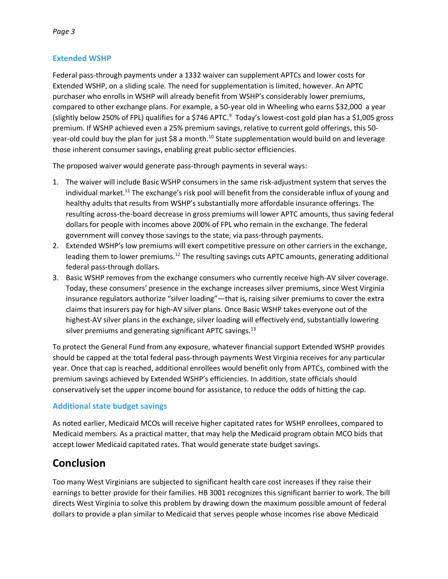#### **Extended WSHP**

Federal pass-through payments under a 1332 waiver can supplement APTCs and lower costs for Extended WSHP, on a sliding scale. The need for supplementation is limited, however. An APTC purchaser who enrolls in WSHP will already benefit from WSHP's considerably lower premiums, compared to other exchange plans. For example, a 50-year old in Wheeling who earns \$32,000 a year (slightly below 250% of FPL) qualifies for a \$746 APTC. $9$  Today's lowest-cost gold plan has a \$1,005 gross premium. If WSHP achieved even a 25% premium savings, relative to current gold offerings, this 50 year-old could buy the plan for just \$8 a month.<sup>10</sup> State supplementation would build on and leverage those inherent consumer savings, enabling great public-sector efficiencies.

The proposed waiver would generate pass-through payments in several ways:

- 1. The waiver will include Basic WSHP consumers in the same risk-adjustment system that serves the individual market.<sup>11</sup> The exchange's risk pool will benefit from the considerable influx of young and healthy adults that results from WSHP's substantially more affordable insurance offerings. The resulting across-the-board decrease in gross premiums will lower APTC amounts, thus saving federal dollars for people with incomes above 200% of FPL who remain in the exchange. The federal government will convey those savings to the state, via pass-through payments.
- 2. Extended WSHP's low premiums will exert competitive pressure on other carriers in the exchange, leading them to lower premiums.<sup>12</sup> The resulting savings cuts APTC amounts, generating additional federal pass-through dollars.
- 3. Basic WSHP removes from the exchange consumers who currently receive high-AV silver coverage. Today, these consumers' presence in the exchange increases silver premiums, since West Virginia insurance regulators authorize "silver loading"—that is, raising silver premiums to cover the extra claims that insurers pay for high-AV silver plans. Once Basic WSHP takes everyone out of the highest-AV silver plans in the exchange, silver loading will effectively end, substantially lowering silver premiums and generating significant APTC savings. $^{13}$

To protect the General Fund from any exposure, whatever financial support Extended WSHP provides should be capped at the total federal pass-through payments West Virginia receives for any particular year. Once that cap is reached, additional enrollees would benefit only from APTCs, combined with the premium savings achieved by Extended WSHP's efficiencies. In addition, state officials should conservatively set the upper income bound for assistance, to reduce the odds of hitting the cap.

#### **Additional state budget savings**

As noted earlier, Medicaid MCOs will receive higher capitated rates for WSHP enrollees, compared to Medicaid members. As a practical matter, that may help the Medicaid program obtain MCO bids that accept lower Medicaid capitated rates. That would generate state budget savings.

### **Conclusion**

Too many West Virginians are subjected to significant health care cost increases if they raise their earnings to better provide for their families. HB 3001 recognizes this significant barrier to work. The bill directs West Virginia to solve this problem by drawing down the maximum possible amount of federal dollars to provide a plan similar to Medicaid that serves people whose incomes rise above Medicaid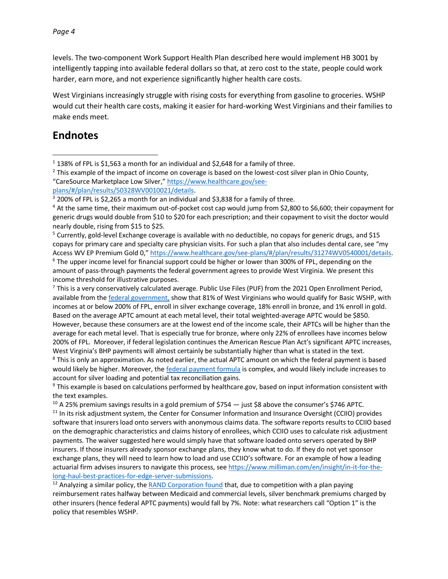levels. The two-component Work Support Health Plan described here would implement HB 3001 by intelligently tapping into available federal dollars so that, at zero cost to the state, people could work harder, earn more, and not experience significantly higher health care costs.

West Virginians increasingly struggle with rising costs for everything from gasoline to groceries. WSHP would cut their health care costs, making it easier for hard-working West Virginians and their families to make ends meet.

## **Endnotes**

 $\overline{\phantom{a}}$ 

<sup>5</sup> Currently, gold-level Exchange coverage is available with no deductible, no copays for generic drugs, and \$15 copays for primary care and specialty care physician visits. For such a plan that also includes dental care, see "my Access WV EP Premium Gold 0," [https://www.healthcare.gov/see-plans/#/plan/results/31274WV0540001/details.](https://www.healthcare.gov/see-plans/#/plan/results/31274WV0540001/details) <sup>6</sup> The upper income level for financial support could be higher or lower than 300% of FPL, depending on the amount of pass-through payments the federal government agrees to provide West Virginia. We present this income threshold for illustrative purposes.

<sup>7</sup> This is a very conservatively calculated average. Public Use Files (PUF) from the 2021 Open Enrollment Period, available from th[e federal government,](https://www.cms.gov/files/zip/2021-oep-state-metal-level-and-enrollment-status-public-use-file.zip) show that 81% of West Virginians who would qualify for Basic WSHP, with incomes at or below 200% of FPL, enroll in silver exchange coverage, 18% enroll in bronze, and 1% enroll in gold. Based on the average APTC amount at each metal level, their total weighted-average APTC would be \$850. However, because these consumers are at the lowest end of the income scale, their APTCs will be higher than the average for each metal level. That is especially true for bronze, where only 22% of enrollees have incomes below 200% of FPL. Moreover, if federal legislation continues the American Rescue Plan Act's significant APTC increases, West Virginia's BHP payments will almost certainly be substantially higher than what is stated in the text.

<sup>8</sup> This is only an approximation. As noted earlier, the actual APTC amount on which the federal payment is based would likely be higher. Moreover, th[e federal payment formula](https://www.govinfo.gov/content/pkg/FR-2021-07-07/pdf/2021-14393.pdf) is complex, and would likely include increases to account for silver loading and potential tax reconciliation gains.

<sup>9</sup> This example is based on calculations performed by healthcare.gov, based on input information consistent with the text examples.

<sup>10</sup> A 25% premium savings results in a gold premium of \$754  $-$  just \$8 above the consumer's \$746 APTC.

<sup>11</sup> In its risk adjustment system, the Center for Consumer Information and Insurance Oversight (CCIIO) provides software that insurers load onto servers with anonymous claims data. The software reports results to CCIIO based on the demographic characteristics and claims history of enrollees, which CCIIO uses to calculate risk adjustment payments. The waiver suggested here would simply have that software loaded onto servers operated by BHP insurers. If those insurers already sponsor exchange plans, they know what to do. If they do not yet sponsor exchange plans, they will need to learn how to load and use CCIIO's software. For an example of how a leading actuarial firm advises insurers to navigate this process, se[e https://www.milliman.com/en/insight/in-it-for-the](https://www.milliman.com/en/insight/in-it-for-the-long-haul-best-practices-for-edge-server-submissions)[long-haul-best-practices-for-edge-server-submissions.](https://www.milliman.com/en/insight/in-it-for-the-long-haul-best-practices-for-edge-server-submissions)

 $12$  Analyzing a similar policy, the [RAND Corporation found](https://www.rand.org/content/dam/rand/pubs/research_reports/RR3100/RR3153/RAND_RR3153.pdf) that, due to competition with a plan paying reimbursement rates halfway between Medicaid and commercial levels, silver benchmark premiums charged by other insurers (hence federal APTC payments) would fall by 7%. Note: what researchers call "Option 1" is the policy that resembles WSHP.

 $1$  138% of FPL is \$1,563 a month for an individual and \$2,648 for a family of three.

<sup>&</sup>lt;sup>2</sup> This example of the impact of income on coverage is based on the lowest-cost silver plan in Ohio County, "CareSource Marketplace Low Silver," [https://www.healthcare.gov/see](https://www.healthcare.gov/see-plans/#/plan/results/50328WV0010021/details)[plans/#/plan/results/50328WV0010021/details.](https://www.healthcare.gov/see-plans/#/plan/results/50328WV0010021/details)

<sup>&</sup>lt;sup>3</sup> 200% of FPL is \$2,265 a month for an individual and \$3,838 for a family of three.

<sup>4</sup> At the same time, their maximum out-of-pocket cost cap would jump from \$2,800 to \$6,600; their copayment for generic drugs would double from \$10 to \$20 for each prescription; and their copayment to visit the doctor would nearly double, rising from \$15 to \$25.